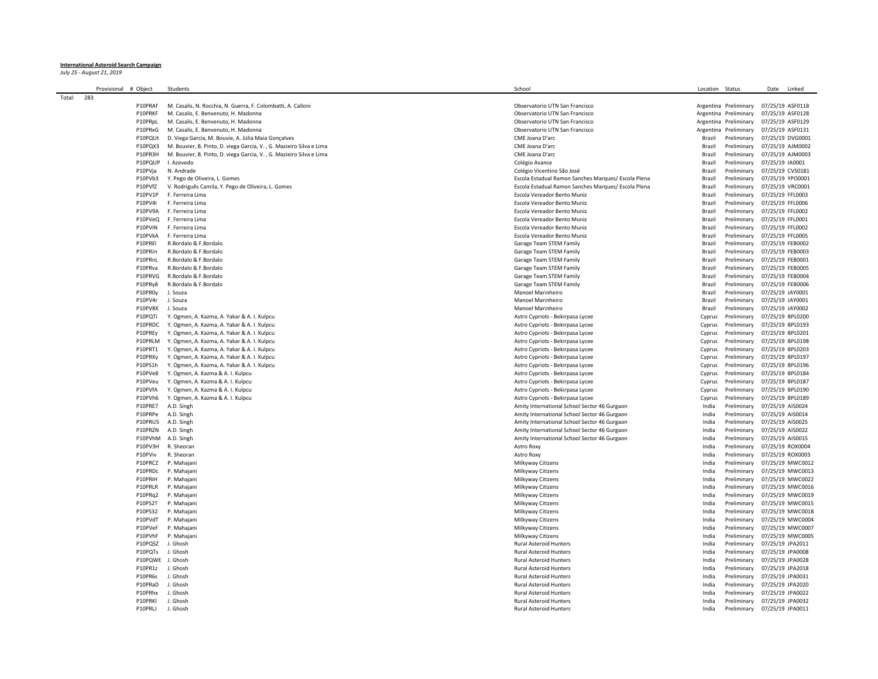## **International Asteroid Search Campaign**

*July 25 - August 21, 2019*

| Provisional   | # Object         | Students                                                            | School     |                                                     | Location  | Status                       | Date             | Linked           |
|---------------|------------------|---------------------------------------------------------------------|------------|-----------------------------------------------------|-----------|------------------------------|------------------|------------------|
| Total:<br>283 |                  |                                                                     |            |                                                     |           |                              |                  |                  |
|               | P10PRAf          | M. Casalis, N. Rocchia, N. Guerra, F. Colombatti, A. Calloni        |            | Observatorio UTN San Francisco                      |           | Argentina Preliminary        |                  | 07/25/19 ASF0118 |
|               | P10PRKF          | M. Casalis, E. Benvenuto, H. Madonna                                |            | Observatorio UTN San Francisco                      |           | Argentina Preliminary        |                  | 07/25/19 ASF0128 |
|               | P10PRpL          | M. Casalis, E. Benvenuto, H. Madonna                                |            | Observatorio UTN San Francisco                      | Argentina | Preliminary                  |                  | 07/25/19 ASF0129 |
|               | P10PRxG          | M. Casalis, E. Benvenuto, H. Madonna                                |            | Observatorio UTN San Francisco                      | Argentina | Preliminary                  |                  | 07/25/19 ASF0131 |
|               | P10PQUt          | D. Viega Garcia, M. Bouvie, A. Júlia Maia Gonçalves                 |            | CME Joana D'arc                                     | Brazil    | Preliminary                  |                  | 07/25/19 DVG0001 |
|               | P10PQX3          | M. Bouvier, B. Pinto, D. viega Garcia, V., G. Mazieiro Silva e Lima |            | CME Joana D'arc                                     | Brazil    | Preliminary                  |                  | 07/25/19 AJM0002 |
|               | P10PR3H          | M. Bouvier, B. Pinto, D. viega Garcia, V., G. Mazieiro Silva e Lima |            | CME Joana D'arc                                     | Brazil    | Preliminary                  |                  | 07/25/19 AJM0003 |
|               | P10PQUP          | I. Azevedo                                                          |            | Colégio Avance                                      | Brazil    | Preliminary                  | 07/25/19 IA0001  |                  |
|               | P10PVja          | N. Andrade                                                          |            | Colégio Vicentino São José                          | Brazil    | Preliminary                  |                  | 07/25/19 CVS0181 |
|               |                  |                                                                     |            |                                                     |           | Preliminary                  |                  |                  |
|               | P10PVb3          | Y. Pego de Oliveira, L. Gomes                                       |            | Escola Estadual Ramon Sanches Marques/ Escola Plena | Brazil    |                              |                  | 07/25/19 YPO0001 |
|               | P10PVfZ          | V. Rodriguês Camila, Y. Pego de Oliveira, L. Gomes                  |            | Escola Estadual Ramon Sanches Marques/ Escola Plena | Brazil    | Preliminary                  |                  | 07/25/19 VRC0001 |
|               | P10PV1P          | F. Ferreira Lima                                                    |            | Escola Vereador Bento Muniz                         | Brazil    | Preliminary                  | 07/25/19 FFL0003 |                  |
|               | P10PV4I          | F. Ferreira Lima                                                    |            | Escola Vereador Bento Muniz                         | Brazil    | Preliminary                  | 07/25/19 FFL0006 |                  |
|               | P10PV9A          | F. Ferreira Lima                                                    |            | Escola Vereador Bento Muniz                         | Brazil    | Preliminary                  | 07/25/19 FFL0002 |                  |
|               | P10PVeQ          | F. Ferreira Lima                                                    |            | Escola Vereador Bento Muniz                         | Brazil    | Preliminary                  | 07/25/19 FFL0001 |                  |
|               | P10PViN          | F. Ferreira Lima                                                    |            | Escola Vereador Bento Muniz                         | Brazil    | Preliminary                  | 07/25/19 FFL0002 |                  |
|               | P10PVkA          | F. Ferreira Lima                                                    |            | Escola Vereador Bento Muniz                         | Brazil    | Preliminary                  | 07/25/19 FFL0005 |                  |
|               | P10PREI          | R.Bordalo & F.Bordalo                                               |            | Garage Team STEM Family                             | Brazil    | Preliminary                  |                  | 07/25/19 FEB0002 |
|               | P10PRJn          | R.Bordalo & F.Bordalo                                               |            | Garage Team STEM Family                             | Brazil    | Preliminary                  | 07/25/19 FEB0003 |                  |
|               | P10PRnL          | R.Bordalo & F.Bordalo                                               |            | Garage Team STEM Family                             | Brazil    | Preliminary                  |                  | 07/25/19 FEB0001 |
|               | P10PRva          | R.Bordalo & F.Bordalo                                               |            | Garage Team STEM Family                             | Brazil    | Preliminary                  |                  | 07/25/19 FEB0005 |
|               | P10PRVG          | R.Bordalo & F.Bordalo                                               |            | Garage Team STEM Family                             | Brazil    | Preliminary                  |                  | 07/25/19 FEB0004 |
|               | P10PRy8          | R.Bordalo & F.Bordalo                                               |            | Garage Team STEM Family                             | Brazil    | Preliminary                  |                  | 07/25/19 FEB0006 |
|               | P10PR0y          | J. Souza                                                            |            | Manoel Marinheiro                                   | Brazil    | Preliminary                  | 07/25/19 JAY0001 |                  |
|               |                  |                                                                     |            |                                                     |           |                              |                  |                  |
|               | P10PV4r          | J. Souza                                                            |            | Manoel Marinheiro                                   | Brazil    | Preliminary                  | 07/25/19 JAY0001 |                  |
|               | P10PV8X          | J. Souza                                                            |            | Manoel Marinheiro                                   | Brazil    | Preliminary                  | 07/25/19 JAY0002 |                  |
|               | P10POTi          | Y. Ogmen, A. Kazma, A. Yakar & A. I. Kulpcu                         |            | Astro Cypriots - Bekirpasa Lycee                    | Cyprus    | Preliminary                  |                  | 07/25/19 BPL0200 |
|               | P10PRDC          | Y. Ogmen, A. Kazma, A. Yakar & A. I. Kulpcu                         |            | Astro Cypriots - Bekirpasa Lycee                    | Cyprus    | Preliminary                  |                  | 07/25/19 BPL0193 |
|               | P10PREy          | Y. Ogmen, A. Kazma, A. Yakar & A. I. Kulpcu                         |            | Astro Cypriots - Bekirpasa Lycee                    | Cyprus    | Preliminary                  |                  | 07/25/19 BPL0201 |
|               | P10PRLM          | Y. Ogmen, A. Kazma, A. Yakar & A. I. Kulpcu                         |            | Astro Cypriots - Bekirpasa Lycee                    | Cyprus    | Preliminary                  |                  | 07/25/19 BPL0198 |
|               | P10PRT1          | Y. Ogmen, A. Kazma, A. Yakar & A. I. Kulpcu                         |            | Astro Cypriots - Bekirpasa Lycee                    | Cyprus    | Preliminary                  |                  | 07/25/19 BPL0203 |
|               | P10PRXy          | Y. Ogmen, A. Kazma, A. Yakar & A. I. Kulpcu                         |            | Astro Cypriots - Bekirpasa Lycee                    | Cyprus    | Preliminary                  |                  | 07/25/19 BPL0197 |
|               | P10PS1h          | Y. Ogmen, A. Kazma, A. Yakar & A. I. Kulpcu                         |            | Astro Cypriots - Bekirpasa Lycee                    | Cyprus    | Preliminary                  |                  | 07/25/19 BPL0196 |
|               | P10PVe8          | Y. Ogmen, A. Kazma & A. I. Kulpcu                                   |            | Astro Cypriots - Bekirpasa Lycee                    | Cyprus    | Preliminary                  |                  | 07/25/19 BPL0184 |
|               | P10PVeu          | Y. Ogmen, A. Kazma & A. I. Kulpcu                                   |            | Astro Cypriots - Bekirpasa Lycee                    | Cyprus    | Preliminary                  |                  | 07/25/19 BPL0187 |
|               | P10PVfA          | Y. Ogmen, A. Kazma & A. I. Kulpcu                                   |            | Astro Cypriots - Bekirpasa Lycee                    | Cyprus    | Preliminary                  |                  | 07/25/19 BPL0190 |
|               | P10PVh6          | Y. Ogmen, A. Kazma & A. I. Kulpcu                                   |            | Astro Cypriots - Bekirpasa Lycee                    | Cyprus    | Preliminary                  |                  | 07/25/19 BPL0189 |
|               | P10PRE7          | A.D. Singh                                                          |            | Amity International School Sector 46 Gurgaon        | India     | Preliminary                  | 07/25/19 AIS0024 |                  |
|               | P10PRPe          | A.D. Singh                                                          |            | Amity International School Sector 46 Gurgaon        | India     | Preliminary                  | 07/25/19 AIS0014 |                  |
|               | P10PRU5          | A.D. Singh                                                          |            | Amity International School Sector 46 Gurgaon        | India     | Preliminary                  | 07/25/19 AIS0025 |                  |
|               | P10PRZN          | A.D. Singh                                                          |            | Amity International School Sector 46 Gurgaon        | India     | Preliminary                  | 07/25/19 AIS0022 |                  |
|               | P10PVhM          | A.D. Singh                                                          |            | Amity International School Sector 46 Gurgaon        | India     | Preliminary                  | 07/25/19 AIS0015 |                  |
|               | P10PV3H          | R. Sheoran                                                          | Astro Roxy |                                                     | India     | Preliminary                  |                  |                  |
|               |                  |                                                                     |            |                                                     |           |                              |                  | 07/25/19 ROX0004 |
|               | P10PViv          | R. Sheoran                                                          | Astro Roxy |                                                     | India     | Preliminary                  |                  | 07/25/19 ROX0003 |
|               | P10PRCZ          | P. Mahajani                                                         |            | Milkyway Citizens                                   | India     | Preliminary                  |                  | 07/25/19 MWC0012 |
|               | P10PRDc          | P. Mahajani                                                         |            | Milkyway Citizens                                   | India     | Preliminary                  |                  | 07/25/19 MWC0013 |
|               | P10PRIH          | P. Mahaiani                                                         |            | Milkyway Citizens                                   | India     | Preliminary                  |                  | 07/25/19 MWC0022 |
|               | P10PRLR          | P. Mahajani                                                         |            | Milkyway Citizens                                   | India     | Preliminary                  |                  | 07/25/19 MWC0016 |
|               | P10PRq2          | P. Mahajani                                                         |            | Milkyway Citizens                                   | India     | Preliminary                  |                  | 07/25/19 MWC0019 |
|               | P10PS2T          | P. Mahajani                                                         |            | Milkyway Citizens                                   | India     | Preliminary                  |                  | 07/25/19 MWC0015 |
|               | P10PS32          | P. Mahajani                                                         |            | Milkyway Citizens                                   | India     | Preliminary                  |                  | 07/25/19 MWC0018 |
|               | P10PVdT          | P. Mahajani                                                         |            | Milkyway Citizens                                   | India     | Preliminary                  |                  | 07/25/19 MWC0004 |
|               | P10PVeF          | P. Mahajani                                                         |            | Milkyway Citizens                                   | India     | Preliminary                  |                  | 07/25/19 MWC0007 |
|               | P10PVhF          | P. Mahajani                                                         |            | Milkyway Citizens                                   | India     | Preliminary                  |                  | 07/25/19 MWC0005 |
|               | P10PQSZ          | J. Ghosh                                                            |            | <b>Rural Asteroid Hunters</b>                       | India     | Preliminary                  |                  | 07/25/19 JPA2011 |
|               | P10PQTs          | J. Ghosh                                                            |            | <b>Rural Asteroid Hunters</b>                       | India     | Preliminary                  | 07/25/19 JPA0008 |                  |
|               | P10PQWE J. Ghosh |                                                                     |            | Rural Asteroid Hunters                              | India     | Preliminary                  |                  | 07/25/19 JPA0028 |
|               |                  | J. Ghosh                                                            |            |                                                     |           |                              |                  |                  |
|               | P10PR1z          |                                                                     |            | Rural Asteroid Hunters                              | India     | Preliminary                  |                  | 07/25/19 JPA2018 |
|               | P10PR6s          | J. Ghosh                                                            |            | Rural Asteroid Hunters                              | India     | Preliminary                  | 07/25/19 JPA0031 |                  |
|               | P10PRaD          | J. Ghosh                                                            |            | <b>Rural Asteroid Hunters</b>                       | India     | Preliminary                  |                  | 07/25/19 JPA2020 |
|               | P10PRhx          | J. Ghosh                                                            |            | <b>Rural Asteroid Hunters</b>                       | India     | Preliminary                  |                  | 07/25/19 JPA0022 |
|               | P10PRKI          | J. Ghosh                                                            |            | <b>Rural Asteroid Hunters</b>                       | India     | Preliminary                  |                  | 07/25/19 JPA0032 |
|               | P10PRLJ          | J. Ghosh                                                            |            | <b>Rural Asteroid Hunters</b>                       | India     | Preliminary 07/25/19 JPA0011 |                  |                  |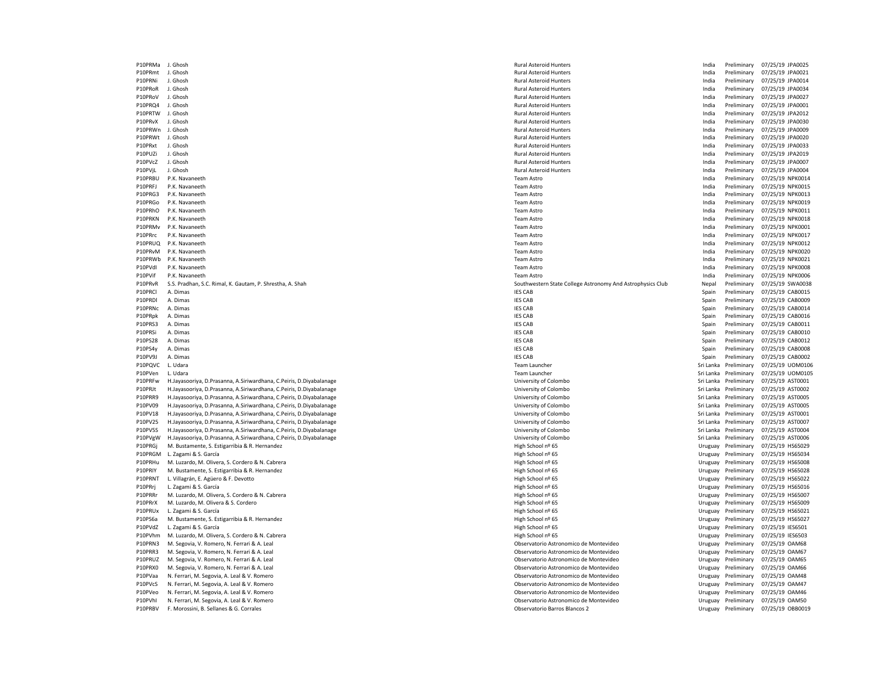P10PRMa J. Ghosh Rural Asteroid Hunters India Preliminary 07/25/19 JPA0025 P10PRmt J. Ghosh Rural Asteroid Hunters India Preliminary 07/25/19 JPA0021 P10PRNi J. Ghosh Rural Asteroid Hunters India Preliminary 07/25/19 JPA0014 P10PRoR J. Ghosh Rural Asteroid Hunters India Preliminary 07/25/19 JPA0034 P10PRoV J. Ghosh Rural Asteroid Hunters India Preliminary 07/25/19 JPA0027 P10PRQ4 J. Ghosh Rural Asteroid Hunters India Preliminary 07/25/19 JPA0001 P10PRTW J. Ghosh Rural Asteroid Hunters India Preliminary 07/25/19 JPA2012 P10PRvX J. Ghosh Rural Asteroid Hunters India Preliminary 07/25/19 JPA0030 P10PRWn J. Ghosh Rural Asteroid Hunters India Preliminary 07/25/19 JPA0009 P10PRWt J. Ghosh Rural Asteroid Hunters India Preliminary 07/25/19 JPA0020 P10PRxt J. Ghosh Rural Asteroid Hunters India Preliminary 07/25/19 JPA0033 P10PUZi J. Ghosh Rural Asteroid Hunters India Preliminary 07/25/19 JPA2019 P10PVcZ J. Ghosh Rural Asteroid Hunters India Preliminary 07/25/19 JPA0007 P10PVjL J. Ghosh Rural Asteroid Hunters India Preliminary 07/25/19 JPA0004 P10PRBU P.K. Navaneeth Team Astro India Preliminary 07/25/19 NPK0014 P10PRFJ P.K. Navaneeth Team Astro India Preliminary 07/25/19 NPK0015 P10PRG3 P.K. Navaneeth Team Astro India Preliminary 07/25/19 NPK0013 P10PRGo P.K. Navaneeth Team Astro India Preliminary 07/25/19 NPK0019 P10PRhO P.K. Navaneeth Team Astro India Preliminary 07/25/19 NPK0011 P10PRKN P.K. Navaneeth Team Astro India Preliminary 07/25/19 NPK0018 P10PRMv P.K. Navaneeth Team Astro India Preliminary 07/25/19 NPK0001 P10PRrc P.K. Navaneeth Team Astro India Preliminary 07/25/19 NPK0017 P10PRUQ P.K. Navaneeth Team Astro India Preliminary 07/25/19 NPK0012 P10PRvM P.K. Navaneeth Team Astro India Preliminary 07/25/19 NPK0020 P10PRWb P.K. Navaneeth Team Astro India Preliminary 07/25/19 NPK0021 P10PVdI P.K. Navaneeth Team Astro India Preliminary 07/25/19 NPK0008 P10PVif P.K. Navaneeth Team Astro India Preliminary 07/25/19 NPK0006 P10PRvR S.S. Pradhan, S.C. Rimal, K. Gautam, P. Shrestha, A. Shah Southwestern State College Astronomy And Astrophysics Club Nepal Preliminary 07/25/19 SWA0038 P10PRCl A. Dimas IES CAB Spain Preliminary 07/25/19 CAB0015 P10PRDl A. Dimas IES CAB Spain Preliminary 07/25/19 CAB0009 P10PRNc A. Dimas IES CAB Spain Preliminary 07/25/19 CAB0014 P10PRpk A. Dimas IES CAB Spain Preliminary 07/25/19 CAB0016 P10PRS3 A. Dimas IES CAB Spain Preliminary 07/25/19 CAB0011 P10PRSi A. Dimas IES CAB Spain Preliminary 07/25/19 CAB0010 P10PS28 A. Dimas IES CAB Spain Preliminary 07/25/19 CAB0012 P10PS4y A. Dimas IES CAB Spain Preliminary 07/25/19 CAB0008 P10PV9J A. Dimas IES CAB Spain Preliminary 07/25/19 CAB0002 P10PQVC L. Udara Team Launcher Sri Lanka Preliminary 07/25/19 UOM0106 P10PVen L. Udara Team Launcher Sri Lanka Preliminary 07/25/19 UOM0105 P10PRFw H.Jayasooriya, D.Prasanna, A.Siriwardhana, C.Peiris, D.Diyabalanage example and the state of the state of Colombo Sri Lanka Preliminary 07/25/19 AST0001<br>P10PRJt H.Jayasooriya, D.Prasanna, A.Siriwardhana, C.Peiris, P10PRJt H.Jayasooriya, D.Prasanna, A.Siriwardhana, C.Peiris, D.Diyabalanage University of Colombo Sri Lanka Preliminary 07/25/19 AST0002 P10PRR9 H.Jayasooriya, D.Prasanna, A.Siriwardhana, C.Peiris, D.Diyabalanage Namibia and Sri Lanka Preliminary 10005 and Sri Lanka Preliminary 10005 and Sri Lanka Preliminary 07/25/19 AST0005 and Sri Lanka Preliminary 07/25 P10PV09 H.Jayasooriya, D.Prasanna, A.Siriwardhana, C.Peiris, D.Diyabalanage Namibia and Sri Lanka Preliminary 100 and Sri Lanka Preliminary 100 and Sri Lanka Preliminary 07/25/19 AST0001<br>P10PV18 H.Jayasooriya, D.Prasanna, P10PV18 H.Jayasooriya, D.Prasanna, A.Siriwardhana, C.Peiris, D.Diyabalanage P10PV25 H.Jayasooriya, D.Prasanna, A.Siriwardhana, C.Peiris, D.Diyabalanage Washington Sri Lanka Preliminary 07/25/19 AST0007 P10PV5S H.Jayasooriya, D.Prasanna, A.Siriwardhana, C.Peiris, D.Diyabalanage Washington Sri Lanka Preliminary 07/25/19 AST0004 Sri Lanka Preliminary 07/25/19 AST0004 P10PVgW H.Jayasooriya, D.Prasanna, A.Siriwardhana, C.Peiris, D.Diyabalanage Names and Diversity of Colombo Michael Diversity of Colombo Sri Lanka Preliminary 07/25/19 AST0006<br>P10PRGi M.Bustamente. S. Estigarribia & R. Hern P10PRGi M. Bustamente, S. Estigarribia & R. Hernandez P10PRGM L. Zagami & S. García **Exercía Exercía Exercía Exercía High School nº 65** High School nº 65 Uruguay Preliminary 07/25/19 HS65034 P10PRHu M. Luzardo, M. Olivera, S. Cordero & N. Cabrera High School ne State of High School ne of State of Music Description of Music Description of High School ne of State of Music Description of Music Description of Mus P10PRIY M. Bustamente, S. Estigarribia & R. Hernandez National Research of the School new High School n<sup>o</sup> 65 High School n<sup>o</sup> 65 Uruguay Preliminary Preliminary Preliminary Preliminary Preliminary Preliminary Preliminary P10PRNT L. Villagrán, E. Agüero & F. Devotto New School new School new High School nº 65 New York and New York New York New York New York New York New York New York New York New York New York New York New York New York New P10PRrj L. Zagami & S. García high School ne and the School new High School nº 65 New York of Preliminary 07/25/19 HS65016 P10PRRr M. Luzardo, M. Olivera, S. Cordero & N. Cabrera High School nº 65 Uruguay Preliminary 07/25/19 HS65007 P10PRrX M. Luzardo, M. Olivera & S. Cordero New States of Material and States and Archives and High School nº 65 New York of High School new York of High School new York of High School new York of High School new York of M P10PRUx L. Zagami & S. García High School nº 65 Uruguay Preliminary 07/25/19 HS65021 P10PS6a M. Bustamente, S. Estigarribia & R. Hernandez etc. etc. https://www.com/indial/ext. https://www.com/indial/ext. html Archivesia High School nº 65 Uruguay Preliminary 07/25/19 HS65027 P10PVdZ L. Zagami & S. García High School nº 65 Uruguay Preliminary 07/25/19 IES6501 P10PVhm M. Luzardo, M. Olivera, S. Cordero & N. Cabrera High School net a March 2012 and March 2012 and March 2012 and March 2012 and March 2012 and March 2012 and March 2012 and March 2012 and March 2012 and March 2012 a P10PRN3 M. Segovia, V. Romero, N. Ferrari & A. Leal Observatorio Astronomico de Montevideo Chromero de Montevideo Chromero and Truguay Preliminary 07/25/19 OAM68<br>P10PRR3 M. Segovia, V. Romero, N. Ferrari & A. Leal Observat P10PRR3 M. Segovia, V. Romero, N. Ferrari & A. Leal Observatorio Astronomico de Montevideo Uruguay Preliminary Preliminary P10PRUZ M. Segovia, V. Romero, N. Ferrari & A. Leal Observatorio Astronomico de Montevideo Uruguay Preliminary 07/25/19 OAM65 P10PRX0 M. Segovia, V. Romero, N. Ferrari & A. Leal Observatorio Astronomico de Montevideo Uruguay Preliminary 07/25/19 OAM66 P10PVaa N. Ferrari, M. Segovia, A. Leal & V. Romero November 2022 and 2022 and 2022 and 2022 and 2022 and 2022 and 2022 and 2022 and 2022 and 2022 and 2022 and 2022 and 2022 and 2022 and 2022 and 2022 and 2022 and 2022 and N. Ferrari, M. Segovia, A. Leal & V. Romero P10PVeo N. Ferrari, M. Segovia, A. Leal & V. Romero Observatorio Astronomico de Montevideo Uruguay Preliminary 07/25/19 OAM46 P10PVhI N. Ferrari, M. Segovia, A. Leal & V. Romero November 2002 and Samuel Content of Content of Content of Content of Content of Content of Content of Content of Content of Content of Content of Content of Content of Co P10PRBV F. Morossini, B. Sellanes & G. Corrales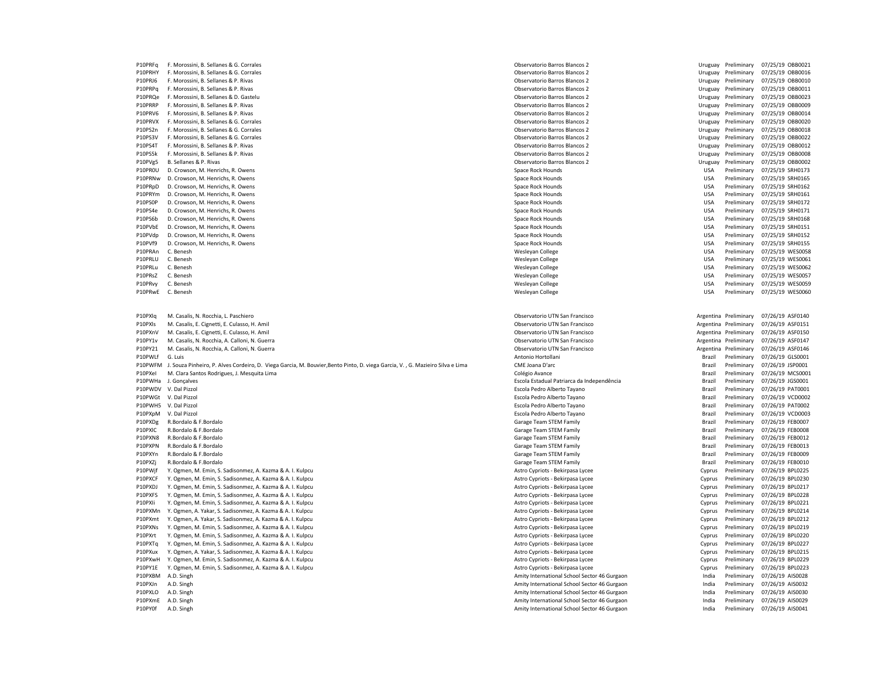| P10PRFq            | F. Morossini, B. Sellanes & G. Corrales                                                                                       | Observatorio Barros Blancos 2                                                                |                  | Uruguay Preliminary        | 07/25/19 OBB0021                     |
|--------------------|-------------------------------------------------------------------------------------------------------------------------------|----------------------------------------------------------------------------------------------|------------------|----------------------------|--------------------------------------|
| P10PRHY            | F. Morossini, B. Sellanes & G. Corrales                                                                                       | Observatorio Barros Blancos 2                                                                |                  | Uruguay Preliminary        | 07/25/19 OBB0016                     |
| P10PRJ6            | F. Morossini, B. Sellanes & P. Rivas                                                                                          | Observatorio Barros Blancos 2                                                                | Uruguay          | Preliminary                | 07/25/19 OBB0010                     |
| P10PRPq            | F. Morossini, B. Sellanes & P. Rivas                                                                                          | Observatorio Barros Blancos 2                                                                | Uruguay          | Preliminary                | 07/25/19 OBB0011                     |
| P10PRQe            | F. Morossini, B. Sellanes & D. Gastelu                                                                                        | Observatorio Barros Blancos 2                                                                | Uruguay          | Preliminary                | 07/25/19 OBB0023                     |
| P10PRRP            | F. Morossini, B. Sellanes & P. Rivas                                                                                          | Observatorio Barros Blancos 2                                                                | Uruguay          | Preliminary                | 07/25/19 OBB0009                     |
| P10PRV6            | F. Morossini, B. Sellanes & P. Rivas                                                                                          | Observatorio Barros Blancos 2                                                                | Uruguay          | Preliminary                | 07/25/19 OBB0014                     |
| P10PRVX            | F. Morossini, B. Sellanes & G. Corrales                                                                                       | Observatorio Barros Blancos 2                                                                |                  | Preliminary                | 07/25/19 OBB0020                     |
|                    |                                                                                                                               |                                                                                              | Uruguay          |                            |                                      |
| P10PS2n            | F. Morossini, B. Sellanes & G. Corrales                                                                                       | Observatorio Barros Blancos 2                                                                | Uruguay          | Preliminary                | 07/25/19 OBB0018                     |
| P10PS3V            | F. Morossini, B. Sellanes & G. Corrales                                                                                       | Observatorio Barros Blancos 2                                                                | Uruguay          | Preliminary                | 07/25/19 OBB0022                     |
| P10PS4T            | F. Morossini, B. Sellanes & P. Rivas                                                                                          | Observatorio Barros Blancos 2                                                                | Uruguay          | Preliminary                | 07/25/19 OBB0012                     |
| P10PS5k            | F. Morossini, B. Sellanes & P. Rivas                                                                                          | Observatorio Barros Blancos 2                                                                | Uruguay          | Preliminary                | 07/25/19 OBB0008                     |
| P10PVg5            | B. Sellanes & P. Rivas                                                                                                        | Observatorio Barros Blancos 2                                                                | Uruguay          | Preliminary                | 07/25/19 OBB0002                     |
| P10PROU            | D. Crowson, M. Henrichs, R. Owens                                                                                             | Space Rock Hounds                                                                            | <b>USA</b>       | Preliminary                | 07/25/19 SRH0173                     |
| P10PRNw            | D. Crowson, M. Henrichs, R. Owens                                                                                             | Space Rock Hounds                                                                            | <b>USA</b>       | Preliminary                | 07/25/19 SRH0165                     |
| P10PRpD            | D. Crowson, M. Henrichs, R. Owens                                                                                             | Space Rock Hounds                                                                            | <b>USA</b>       | Preliminary                | 07/25/19 SRH0162                     |
| P10PRYm            | D. Crowson, M. Henrichs, R. Owens                                                                                             | Space Rock Hounds                                                                            | <b>USA</b>       | Preliminary                | 07/25/19 SRH0161                     |
| P10PS0P            | D. Crowson, M. Henrichs, R. Owens                                                                                             | Space Rock Hounds                                                                            | <b>USA</b>       | Preliminary                | 07/25/19 SRH0172                     |
| P10PS4e            | D. Crowson, M. Henrichs, R. Owens                                                                                             | Space Rock Hounds                                                                            | <b>USA</b>       | Preliminary                | 07/25/19 SRH0171                     |
| P10PS6b            | D. Crowson, M. Henrichs, R. Owens                                                                                             | Space Rock Hounds                                                                            | <b>USA</b>       | Preliminary                | 07/25/19 SRH0168                     |
| P10PVbE            | D. Crowson, M. Henrichs, R. Owens                                                                                             | Space Rock Hounds                                                                            | <b>USA</b>       | Preliminary                | 07/25/19 SRH0151                     |
| P10PVdp            | D. Crowson, M. Henrichs, R. Owens                                                                                             | Space Rock Hounds                                                                            | <b>USA</b>       | Preliminary                | 07/25/19 SRH0152                     |
| P10PVf9            | D. Crowson, M. Henrichs, R. Owens                                                                                             | Space Rock Hounds                                                                            | <b>USA</b>       | Preliminary                | 07/25/19 SRH0155                     |
| P10PRAn            | C. Benesh                                                                                                                     | Wesleyan College                                                                             | <b>USA</b>       | Preliminary                | 07/25/19 WES0058                     |
| P10PRLU            | C. Benesh                                                                                                                     |                                                                                              | <b>USA</b>       | Preliminary                | 07/25/19 WES0061                     |
|                    |                                                                                                                               | Wesleyan College                                                                             |                  |                            |                                      |
| P10PRLu            | C. Benesh                                                                                                                     | Wesleyan College                                                                             | <b>USA</b>       | Preliminary                | 07/25/19 WES0062                     |
| P10PRsZ            | C. Benesh                                                                                                                     | Wesleyan College                                                                             | <b>USA</b>       | Preliminary                | 07/25/19 WES0057                     |
| P10PRvy            | C. Benesh                                                                                                                     | Wesleyan College                                                                             | <b>USA</b>       | Preliminary                | 07/25/19 WES0059                     |
| P10PRwE            | C. Benesh                                                                                                                     | Wesleyan College                                                                             | <b>USA</b>       | Preliminary                | 07/25/19 WES0060                     |
|                    |                                                                                                                               |                                                                                              |                  |                            |                                      |
|                    |                                                                                                                               |                                                                                              |                  |                            |                                      |
| P10PXlg            | M. Casalis, N. Rocchia, L. Paschiero                                                                                          | Observatorio UTN San Francisco                                                               |                  | Argentina Preliminary      | 07/26/19 ASF0140                     |
| P10PXIs            | M. Casalis, E. Cignetti, E. Culasso, H. Amil                                                                                  | Observatorio UTN San Francisco                                                               |                  | Argentina Preliminary      | 07/26/19 ASF0151                     |
| P10PXnV            | M. Casalis, E. Cignetti, E. Culasso, H. Amil                                                                                  | Observatorio UTN San Francisco                                                               |                  | Argentina Preliminary      | 07/26/19 ASF0150                     |
|                    |                                                                                                                               |                                                                                              |                  |                            |                                      |
| P10PY1v            | M. Casalis, N. Rocchia, A. Calloni, N. Guerra                                                                                 | Observatorio UTN San Francisco                                                               | Argentina        | Preliminary                | 07/26/19 ASF0147                     |
| P10PY21            | M. Casalis, N. Rocchia, A. Calloni, N. Guerra                                                                                 | Observatorio UTN San Francisco                                                               |                  | Argentina Preliminary      | 07/26/19 ASF0146                     |
| P10PWLf            | G. Luis                                                                                                                       | Antonio Hortollani                                                                           |                  |                            |                                      |
| P10PWFM            |                                                                                                                               | CME Joana D'arc                                                                              | Brazil<br>Brazil | Preliminary                | 07/26/19 GLS0001                     |
|                    | J. Souza Pinheiro, P. Alves Cordeiro, D. Viega Garcia, M. Bouvier, Bento Pinto, D. viega Garcia, V., G. Mazieiro Silva e Lima |                                                                                              |                  | Preliminary                | 07/26/19 JSP0001                     |
| P10PXel            | M. Clara Santos Rodrigues, J. Mesquita Lima                                                                                   | Colégio Avance                                                                               | Brazil           | Preliminary                | 07/26/19 MCS0001                     |
| P10PWHa            | J. Gonçalves                                                                                                                  | Escola Estadual Patriarca da Independência                                                   | Brazil           | Preliminary                | 07/26/19 JGS0001                     |
| P10PWDV            | V. Dal Pizzol                                                                                                                 | Escola Pedro Alberto Tayano                                                                  | Brazil           | Preliminary                | 07/26/19 PAT0001                     |
|                    | P10PWGt V. Dal Pizzol                                                                                                         | Escola Pedro Alberto Tayano                                                                  | Brazil           | Preliminary                | 07/26/19 VCD0002                     |
|                    | P10PWH5 V. Dal Pizzol                                                                                                         | Escola Pedro Alberto Tayano                                                                  | <b>Brazil</b>    | Preliminary                | 07/26/19 PAT0002                     |
| P10PXpM            | V. Dal Pizzol                                                                                                                 | Escola Pedro Alberto Tayano                                                                  | Brazil           | Preliminary                | 07/26/19 VCD0003                     |
| P10PXDg            | R.Bordalo & F.Bordalo                                                                                                         | Garage Team STEM Family                                                                      | Brazil           | Preliminary                | 07/26/19 FEB0007                     |
| P10PXIC            | R. Bordalo & E. Bordalo                                                                                                       | Garage Team STEM Family                                                                      | Brazil           | Preliminary                | 07/26/19 FEB0008                     |
| P10PXN8            | R.Bordalo & F.Bordalo                                                                                                         | Garage Team STEM Family                                                                      | Brazil           | Preliminary                | 07/26/19 FEB0012                     |
| P10PXPN            | R.Bordalo & F.Bordalo                                                                                                         | Garage Team STEM Family                                                                      | Brazil           | Preliminary                | 07/26/19 FEB0013                     |
| P10PXYn            | R.Bordalo & F.Bordalo                                                                                                         | Garage Team STEM Family                                                                      | Brazil           | Preliminary                | 07/26/19 FEB0009                     |
| P10PXZj            | R.Bordalo & F.Bordalo                                                                                                         | Garage Team STEM Family                                                                      | Brazil           | Preliminary                | 07/26/19 FEB0010                     |
| P10PWjf            | Y. Ogmen, M. Emin, S. Sadisonmez, A. Kazma & A. I. Kulpcu                                                                     | Astro Cypriots - Bekirpasa Lycee                                                             | Cyprus           | Preliminary                | 07/26/19 BPL0225                     |
| P10PXCF            | Y. Ogmen, M. Emin, S. Sadisonmez, A. Kazma & A. I. Kulpcu                                                                     | Astro Cypriots - Bekirpasa Lycee                                                             | Cyprus           | Preliminary                | 07/26/19 BPL0230                     |
| P10PXDJ            | Y. Ogmen, M. Emin, S. Sadisonmez, A. Kazma & A. I. Kulpcu                                                                     | Astro Cypriots - Bekirpasa Lycee                                                             | Cyprus           | Preliminary                | 07/26/19 BPL021                      |
| P10PXFS            | Y. Ogmen, M. Emin, S. Sadisonmez, A. Kazma & A. I. Kulpcu                                                                     | Astro Cypriots - Bekirpasa Lycee                                                             | Cyprus           | Preliminary                | 07/26/19 BPL0228                     |
| P10PXIi            |                                                                                                                               |                                                                                              |                  |                            |                                      |
|                    | Y. Ogmen, M. Emin, S. Sadisonmez, A. Kazma & A. I. Kulpcu                                                                     | Astro Cypriots - Bekirpasa Lycee                                                             | Cyprus           | Preliminary                | 07/26/19 BPL0221                     |
| P10PXMn            | Y. Ogmen, A. Yakar, S. Sadisonmez, A. Kazma & A. I. Kulpcu                                                                    | Astro Cypriots - Bekirpasa Lycee                                                             | Cyprus           | Preliminary                | 07/26/19 BPL0214                     |
| P10PXmt            | Y. Ogmen, A. Yakar, S. Sadisonmez, A. Kazma & A. I. Kulpcu                                                                    | Astro Cypriots - Bekirpasa Lycee                                                             | Cyprus           | Preliminary                | 07/26/19 BPL0212                     |
| P10PXNs            | Y. Ogmen, M. Emin, S. Sadisonmez, A. Kazma & A. I. Kulpcu                                                                     | Astro Cypriots - Bekirpasa Lycee                                                             | Cyprus           | Preliminary                | 07/26/19 BPL0219                     |
| P10PXrt            | Y. Ogmen, M. Emin, S. Sadisonmez, A. Kazma & A. I. Kulpcu                                                                     | Astro Cypriots - Bekirpasa Lycee                                                             | Cyprus           | Preliminary                | 07/26/19 BPL0220                     |
| P10PXTq            | Y. Ogmen, M. Emin, S. Sadisonmez, A. Kazma & A. I. Kulpcu                                                                     | Astro Cypriots - Bekirpasa Lycee                                                             | Cyprus           | Preliminary                | 07/26/19 BPL0227                     |
| P10PXux            | Y. Ogmen, A. Yakar, S. Sadisonmez, A. Kazma & A. I. Kulpcu                                                                    | Astro Cypriots - Bekirpasa Lycee                                                             | Cyprus           | Preliminary                | 07/26/19 BPL0215                     |
| P10PXwH            | Y. Ogmen, M. Emin, S. Sadisonmez, A. Kazma & A. I. Kulpcu                                                                     | Astro Cypriots - Bekirpasa Lycee                                                             | Cyprus           | Preliminary                | 07/26/19 BPL0229                     |
| P10PY1E            | Y. Ogmen, M. Emin, S. Sadisonmez, A. Kazma & A. I. Kulpcu                                                                     | Astro Cypriots - Bekirpasa Lycee                                                             | Cyprus           | Preliminary                | 07/26/19 BPL0223                     |
| P10PXBM            | A.D. Singh                                                                                                                    | Amity International School Sector 46 Gurgaon                                                 | India            | Preliminary                | 07/26/19 AIS0028                     |
| P10PXIn            | A.D. Singh                                                                                                                    | Amity International School Sector 46 Gurgaon                                                 | India            | Preliminary                | 07/26/19 AIS0032                     |
| P10PXLO            | A.D. Singh                                                                                                                    | Amity International School Sector 46 Gurgaon                                                 | India            | Preliminary                | 07/26/19 AIS0030                     |
| P10PXmE<br>P10PY0f | A.D. Singh                                                                                                                    | Amity International School Sector 46 Gurgaon<br>Amity International School Sector 46 Gurgaon | India<br>India   | Preliminary<br>Preliminary | 07/26/19 AIS0029<br>07/26/19 AIS0041 |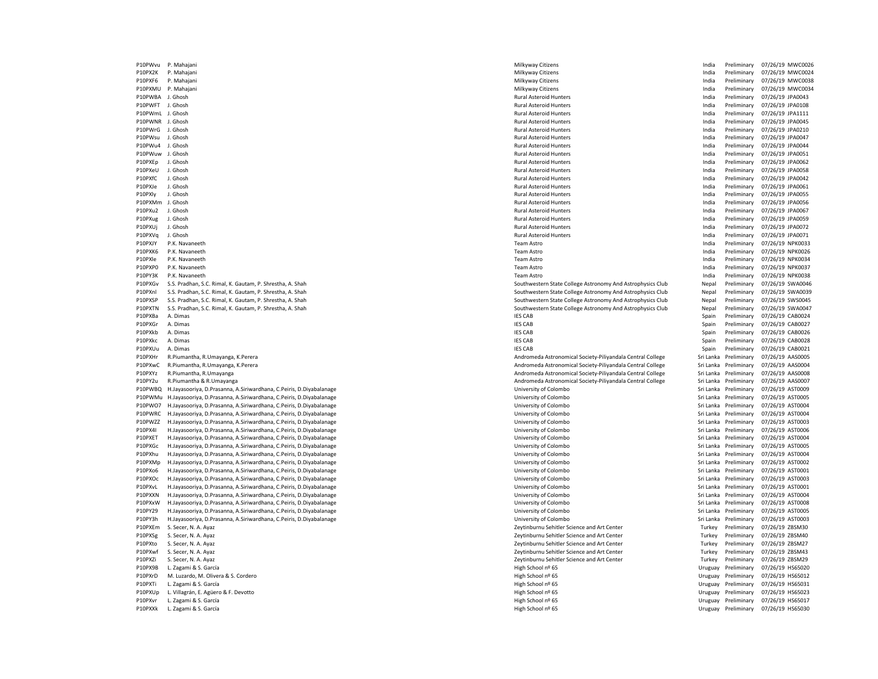P10PWvu P. Mahajani 2012/01/19 MWC0026 Nikyway Citizens Milkyway Citizens Milkyway Citizens India Preliminary 07/26/19 MWC0026 P10PX2K P. Mahajani Milkyway Citizens India Preliminary 07/26/19 MWC0024 P10PXF6 P. Mahajani 2012/01/19 MWC0038 P10PXF6 P. Milkyway Citizens Milkyway Citizens India Preliminary 07/26/19 MWC0038 P10PXMU P. Mahajani Milkyway Citizens India Preliminary 07/26/19 MWC0034 P10PWBA J. Ghosh Rural Asteroid Hunters India Preliminary 07/26/19 JPA0043 P10PWFT J. Ghosh Rural Asteroid Hunters India Preliminary 07/26/19 JPA0108 P10PWmL J. Ghosh Rural Asteroid Hunters India Preliminary 07/26/19 JPA1111 P10PWNR J. Ghosh Rural Asteroid Hunters India Preliminary 07/26/19 JPA0045 P10PWrG J. Ghosh Rural Asteroid Hunters India Preliminary 07/26/19 JPA0210 P10PWsu J. Ghosh Rural Asteroid Hunters India Preliminary 07/26/19 JPA0047 P10PWu4 J. Ghosh Rural Asteroid Hunters India Preliminary 07/26/19 JPA0044 P10PWuw J. Ghosh Rural Asteroid Hunters India Preliminary 07/26/19 JPA0051 P10PXEp J. Ghosh Rural Asteroid Hunters India Preliminary 07/26/19 JPA0062 P10PXeU J. Ghosh Rural Asteroid Hunters India Preliminary 07/26/19 JPA0058 P10PXfC J. Ghosh Rural Asteroid Hunters India Preliminary 07/26/19 JPA0042 P10PXJe J. Ghosh Rural Asteroid Hunters India Preliminary 07/26/19 JPA0061 P10PXly J. Ghosh Rural Asteroid Hunters India Preliminary 07/26/19 JPA0055 P10PXMm J. Ghosh Rural Asteroid Hunters India Preliminary 07/26/19 JPA0056 P10PXu2 J. Ghosh Rural Asteroid Hunters India Preliminary 07/26/19 JPA0067 P10PXug J. Ghosh Rural Asteroid Hunters India Preliminary 07/26/19 JPA0059 P10PXUj J. Ghosh Rural Asteroid Hunters India Preliminary 07/26/19 JPA0072 P10PXVq J. Ghosh Rural Asteroid Hunters India Preliminary 07/26/19 JPA0071 P10PXJY P.K. Navaneeth Team Astro India Preliminary 07/26/19 NPK0033 P10PXK6 P.K. Navaneeth Team Astro India Preliminary 07/26/19 NPK0026 P10PXle P.K. Navaneeth Team Astro India Preliminary 07/26/19 NPK0034 P10PXP0 P.K. Navaneeth Team Astro India Preliminary 07/26/19 NPK0037 P10PY3K P.K. Navaneeth Team Astro India Preliminary 07/26/19 NPK0038 P10PXGv S.S. Pradhan, S.C. Rimal, K. Gautam, P. Shrestha, A. Shah Southwestern State College Astronomy And Astrophysics Club Nepal Preliminary 07/26/19 SWA0046 P10PXnl S.S. Pradhan, S.C. Rimal, K. Gautam, P. Shrestha, A. Shah Southwestern State College Astronomy And Astrophysics Club Nepal Preliminary 07/26/19 SWA0039 P10PXSP S.S. Pradhan, S.C. Rimal, K. Gautam, P. Shrestha, A. Shah South South Southwestern State College Astronomy And Astrophysics Club Nepal Preliminary 07/26/19 SWS0045<br>P10PXTN S.S. Pradhan, S.C. Rimal, K. Gautam, P. Sh P10PXTN S.S. Pradhan, S.C. Rimal, K. Gautam, P. Shrestha, A. Shah Southwestern State College Astronomy And Astrophysics Club Nepal Preliminary 07/26/19 SWA0047<br>P10PXBa A. Dimas Spain Preliminary 07/26/19 CAB0024 P10PXBa A. Dimas IES CAB Spain Preliminary 07/26/19 CAB0024 P10PXGr A. Dimas IES CAB Spain Preliminary 07/26/19 CAB0027 P10PXkb A. Dimas IES CAB Spain Preliminary 07/26/19 CAB0026 P10PXkc A. Dimas IES CAB Spain Preliminary 07/26/19 CAB0028 P10PXUu A. Dimas IES CAB Spain Preliminary 07/26/19 CAB0021 P10PXHr R.Piumantha, R.Umayanga, K.Perera Andromeda Astronomical Society-Piliyandala Central College Sri Lanka Preliminary 07/26/19 AAS0005 P10PXwC R.Piumantha, R.Umayanga, K.Perera Andromeda Astronomical Society-Piliyandala Central College Sri Lanka Preliminary 07/26/19 AAS0008<br>Andromeda Astronomical Society-Piliyandala Central College Sri Lanka Preliminary 0 P10PXYz R.Piumantha, R.Umayanga Andromeda Astronomical Society-Piliyandala Central College Sri Lanka Preliminary 07/26/19 Andromeda Astronomical Society-Piliyandala Central College P10PY2u R.Piumantha & R.Umayanga Andromeda Astronomical Society-Piliyandala Central College Sri Lanka Preliminary 07/26/19 AAS0007 P10PWBQ H.Jayasooriya, D.Prasanna, A.Siriwardhana, C.Peiris, D.Diyabalanage University of Colombo Sri Lanka Preliminary 07/26/19 AST0009 P10PWMu H.Jayasooriya, D.Prasanna, A.Siriwardhana, C.Peiris, D.Diyabalanage Namibia and Sri Lanka Preliminary 10005 and Sri Lanka Preliminary 10005 and Sri Lanka Preliminary 07/26/19 AST0005 and Sri Lanka Preliminary 07/26 P10PWO7 H.Jayasooriya, D.Prasanna, A.Siriwardhana, C.Peiris, D.Diyabalanage Namibia and Sri Lanka Preliminary 100 and Sri Lanka Preliminary 100 and D.P. Sri Lanka Preliminary 107/26/19 AST0004<br>P10PWRC H.Jayasooriya, D.Pras P10PWRC H.Jayasooriya, D.Prasanna, A.Siriwardhana, C.Peiris, D.Diyabalanage P10PWZZ H.Jayasooriya, D.Prasanna, A.Siriwardhana, C.Peiris, D.Diyabalanage Warehous Sri Lanka Preliminary 197/26/19 AST0003 P10PX4I H.Jayasooriya, D.Prasanna, A.Siriwardhana, C.Peiris, D.Diyabalanage University of Colombo Sri Lanka Preliminary 07/26/19 AST0006 P10PXET H.Jayasooriya, D.Prasanna, A.Siriwardhana, C.Peiris, D.Diyabalanage Namilla Sri Demokratika Preliminary 1972-19 AST0004 and a magazinary orthosiy of Colombo Sri Lanka Preliminary 07/26/19 AST0005<br>P10PXGc H.Jayasoor P10PXGc H.Jayasooriya, D.Prasanna, A.Siriwardhana, C.Peiris, D.Diyabalanage P10PXhu H.Jayasooriya, D.Prasanna, A.Siriwardhana, C.Peiris, D.Diyabalanage Warehous Democratic Democratic Democratic Democratic Democratic Democratic Democratic Democratic Democratic Democratic Democratic Democratic Democ P10PXMp H.Jayasooriya, D.Prasanna, A.Siriwardhana, C.Peiris, D.Diyabalanage Sri Lanka Preliminary 07/26/19 AST0002 P10PXo6 H.Jayasooriya, D.Prasanna, A.Siriwardhana, C.Peiris, D.Diyabalanage University of Colombo Sri Lanka Preliminary 07/26/19 AST0001 P10PXOc H.Jayasooriya, D.Prasanna, A.Siriwardhana, C.Peiris, D.Diyabalanage Namibia and Sri Lanka Preliminary 100 and and an and a studies of the studies of the University of Colombo Sri Lanka Preliminary 07/26/19 AST0001<br> P10PXvL H.Jayasooriya, D.Prasanna, A.Siriwardhana, C.Peiris, D.Diyabalanage P10PXXN H.Jayasooriya, D.Prasanna, A.Siriwardhana, C.Peiris, D.Diyabalanage entity of the state of the state of the state of the state of the state of the state of the state of the state of the state of the state Prelimina P10PXxW H.Jayasooriya, D.Prasanna, A.Siriwardhana, C.Peiris, D.Diyabalanage Namilla and Sri Lanka Preliminary intersity of Colombo Sri Lanka Preliminary 07/26/19 AST0005<br>P10PY29 H.Jayasooriya, D.Prasanna, A.Siriwardhana, C P10PY29 H.Jayasooriya, D.Prasanna, A.Siriwardhana, C.Peiris, D.Diyabalanage Washington Sri Lanka Preliminary 07/26/19 AST0005 P10PY3h H.Jayasooriya, D.Prasanna, A.Siriwardhana, C.Peiris, D.Diyabalanage University of Colombo University of Colombo Sri Lanka Preliminary 07/26/19 AST0003 P10PXEm S. Secer, N. A. Ayaz **Zeytinburnu Sehitler Science and Art Center** Turkey Preliminary 07/26/19 ZBSM30 P10PXSg S. Secer, N. A. Ayaz **Markus Ayaz Zeytinburnu Sehitler Science and Art Center** Turkey Preliminary 07/26/19 ZBSM40 P10PXto S. Secer, N. A. Ayaz **Samuel Security Security Security Security Security Security Security Security Security Security Security Security Security Security Security Security Security Security Security Security Secur** P10PXwf S. Secer, N. A. Ayaz **Markus Art Center** Zeytinburnu Sehitler Science and Art Center Turkey Preliminary 07/26/19 ZBSM43 P10PXZi S. Secer. N. A. Ayaz **Zeytinburnu Sehitler Science and Art Center** Turkey Preliminary 07/26/19 ZBSM29 P10PX9B L. Zagami & S. García High School nº 65 Uruguay Preliminary 07/26/19 HS65020 P10PXrD M. Luzardo, M. Olivera & S. Cordero National Association And Association of the High School n<sup>o</sup> 65 National Association of the Uruguay Preliminary 07/26/19 HS65012 P10PXTi L. Zagami & S. García High School nº 65 Uruguay Preliminary 07/26/19 HS65031 P10PXUp L. Villagrán, E. Agüero & F. Devotto etc. Agusta etc. Agusta 1999 and High School nº 65 High School nº 65 High School nº 65 Uruguay Preliminary 07/26/19 HS65023 P10PXvr L. Zagami & S. García High School nº 65 Uruguay Preliminary 07/26/19 HS65017

P10PXXk L. Zagami & S. García **Might School nº 65** High School nº 65 High School nº 65 Uruguay Preliminary 07/26/19 HS65030